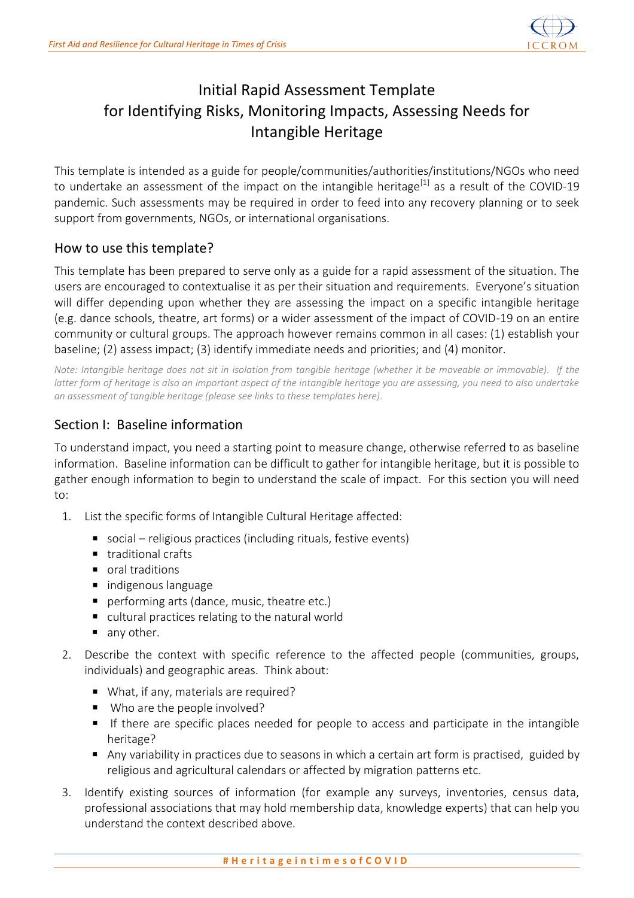

# Initial Rapid Assessment Template for Identifying Risks, Monitoring Impacts, Assessing Needs for Intangible Heritage

This template is intended as a guide for people/communities/authorities/institutions/NGOs who need to undertake an assessment of the impact on the intangible heritage<sup>[1]</sup> as a result of the COVID-19 pandemic. Such assessments may be required in order to feed into any recovery planning or to seek support from governments, NGOs, or international organisations.

#### How to use this template?

This template has been prepared to serve only as a guide for a rapid assessment of the situation. The users are encouraged to contextualise it as per their situation and requirements. Everyone's situation will differ depending upon whether they are assessing the impact on a specific intangible heritage (e.g. dance schools, theatre, art forms) or a wider assessment of the impact of COVID-19 on an entire community or cultural groups. The approach however remains common in all cases: (1) establish your baseline; (2) assess impact; (3) identify immediate needs and priorities; and (4) monitor.

*Note: Intangible heritage does not sit in isolation from tangible heritage (whether it be moveable or immovable). If the latter form of heritage is also an important aspect of the intangible heritage you are assessing, you need to also undertake an assessment of tangible heritage (please see links to these templates here).*

### Section I: Baseline information

To understand impact, you need a starting point to measure change, otherwise referred to as baseline information. Baseline information can be difficult to gather for intangible heritage, but it is possible to gather enough information to begin to understand the scale of impact. For this section you will need to:

- 1. List the specific forms of Intangible Cultural Heritage affected:
	- social religious practices (including rituals, festive events)
	- traditional crafts
	- oral traditions
	- **n** indigenous language
	- performing arts (dance, music, theatre etc.)
	- cultural practices relating to the natural world
	- any other.
- 2. Describe the context with specific reference to the affected people (communities, groups, individuals) and geographic areas. Think about:
	- What, if any, materials are required?
	- Who are the people involved?
	- If there are specific places needed for people to access and participate in the intangible heritage?
	- Any variability in practices due to seasons in which a certain art form is practised, guided by religious and agricultural calendars or affected by migration patterns etc.
- 3. Identify existing sources of information (for example any surveys, inventories, census data, professional associations that may hold membership data, knowledge experts) that can help you understand the context described above.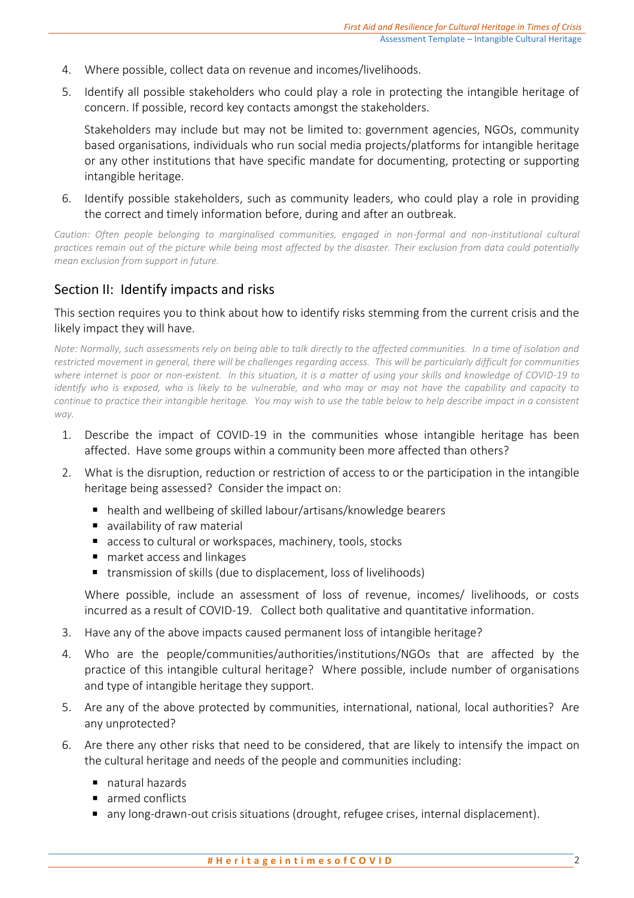- 4. Where possible, collect data on revenue and incomes/livelihoods.
- 5. Identify all possible stakeholders who could play a role in protecting the intangible heritage of concern. If possible, record key contacts amongst the stakeholders.

Stakeholders may include but may not be limited to: government agencies, NGOs, community based organisations, individuals who run social media projects/platforms for intangible heritage or any other institutions that have specific mandate for documenting, protecting or supporting intangible heritage.

6. Identify possible stakeholders, such as community leaders, who could play a role in providing the correct and timely information before, during and after an outbreak.

Caution: Often people belonging to marginalised communities, engaged in non-formal and non-institutional cultural *practices remain out of the picture while being most affected by the disaster. Their exclusion from data could potentially mean exclusion from support in future.* 

## Section II: Identify impacts and risks

#### This section requires you to think about how to identify risks stemming from the current crisis and the likely impact they will have.

*Note: Normally, such assessments rely on being able to talk directly to the affected communities. In a time of isolation and restricted movement in general, there will be challenges regarding access. This will be particularly difficult for communities where internet is poor or non-existent. In this situation, it is a matter of using your skills and knowledge of COVID-19 to identify who is exposed, who is likely to be vulnerable, and who may or may not have the capability and capacity to continue to practice their intangible heritage. You may wish to use the table below to help describe impact in a consistent way.*

- 1. Describe the impact of COVID-19 in the communities whose intangible heritage has been affected. Have some groups within a community been more affected than others?
- 2. What is the disruption, reduction or restriction of access to or the participation in the intangible heritage being assessed? Consider the impact on:
	- health and wellbeing of skilled labour/artisans/knowledge bearers
	- **a** availability of raw material
	- access to cultural or workspaces, machinery, tools, stocks
	- market access and linkages
	- transmission of skills (due to displacement, loss of livelihoods)

Where possible, include an assessment of loss of revenue, incomes/ livelihoods, or costs incurred as a result of COVID-19. Collect both qualitative and quantitative information.

- 3. Have any of the above impacts caused permanent loss of intangible heritage?
- 4. Who are the people/communities/authorities/institutions/NGOs that are affected by the practice of this intangible cultural heritage? Where possible, include number of organisations and type of intangible heritage they support.
- 5. Are any of the above protected by communities, international, national, local authorities? Are any unprotected?
- 6. Are there any other risks that need to be considered, that are likely to intensify the impact on the cultural heritage and needs of the people and communities including:
	- natural hazards
	- armed conflicts
	- any long-drawn-out crisis situations (drought, refugee crises, internal displacement).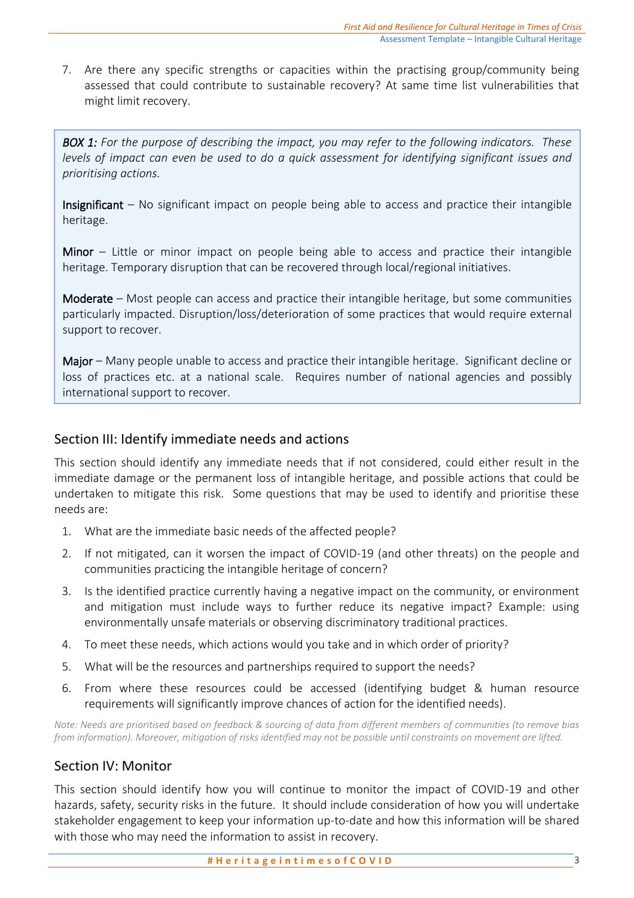7. Are there any specific strengths or capacities within the practising group/community being assessed that could contribute to sustainable recovery? At same time list vulnerabilities that might limit recovery.

*BOX 1: For the purpose of describing the impact, you may refer to the following indicators. These levels of impact can even be used to do a quick assessment for identifying significant issues and prioritising actions.* 

**Insignificant** – No significant impact on people being able to access and practice their intangible heritage.

Minor – Little or minor impact on people being able to access and practice their intangible heritage. Temporary disruption that can be recovered through local/regional initiatives.

Moderate – Most people can access and practice their intangible heritage, but some communities particularly impacted. Disruption/loss/deterioration of some practices that would require external support to recover.

Major – Many people unable to access and practice their intangible heritage. Significant decline or loss of practices etc. at a national scale. Requires number of national agencies and possibly international support to recover.

# Section III: Identify immediate needs and actions

This section should identify any immediate needs that if not considered, could either result in the immediate damage or the permanent loss of intangible heritage, and possible actions that could be undertaken to mitigate this risk. Some questions that may be used to identify and prioritise these needs are:

- 1. What are the immediate basic needs of the affected people?
- 2. If not mitigated, can it worsen the impact of COVID-19 (and other threats) on the people and communities practicing the intangible heritage of concern?
- 3. Is the identified practice currently having a negative impact on the community, or environment and mitigation must include ways to further reduce its negative impact? Example: using environmentally unsafe materials or observing discriminatory traditional practices.
- 4. To meet these needs, which actions would you take and in which order of priority?
- 5. What will be the resources and partnerships required to support the needs?
- 6. From where these resources could be accessed (identifying budget & human resource requirements will significantly improve chances of action for the identified needs).

*Note: Needs are prioritised based on feedback & sourcing of data from different members of communities (to remove bias from information). Moreover, mitigation of risks identified may not be possible until constraints on movement are lifted.*

#### Section IV: Monitor

This section should identify how you will continue to monitor the impact of COVID-19 and other hazards, safety, security risks in the future. It should include consideration of how you will undertake stakeholder engagement to keep your information up-to-date and how this information will be shared with those who may need the information to assist in recovery.